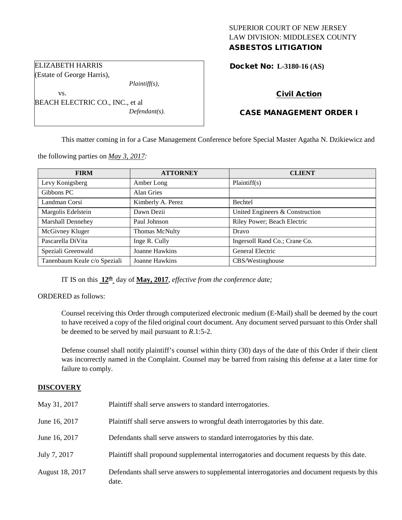# SUPERIOR COURT OF NEW JERSEY LAW DIVISION: MIDDLESEX COUNTY ASBESTOS LITIGATION

Docket No: **L-3180-16 (AS)** 

# Civil Action

# CASE MANAGEMENT ORDER I

This matter coming in for a Case Management Conference before Special Master Agatha N. Dzikiewicz and

the following parties on *May 3, 2017:*

BEACH ELECTRIC CO., INC., et al

*Plaintiff(s),*

*Defendant(s).*

ELIZABETH HARRIS (Estate of George Harris),

vs.

| <b>FIRM</b>                  | <b>ATTORNEY</b>       | <b>CLIENT</b>                   |
|------------------------------|-----------------------|---------------------------------|
| Levy Konigsberg              | Amber Long            | Plaintiff(s)                    |
| Gibbons PC                   | Alan Gries            |                                 |
| Landman Corsi                | Kimberly A. Perez     | <b>Bechtel</b>                  |
| Margolis Edelstein           | Dawn Dezii            | United Engineers & Construction |
| Marshall Dennehey            | Paul Johnson          | Riley Power; Beach Electric     |
| McGivney Kluger              | <b>Thomas McNulty</b> | Dravo                           |
| Pascarella DiVita            | Inge R. Cully         | Ingersoll Rand Co.; Crane Co.   |
| Speziali Greenwald           | Joanne Hawkins        | General Electric                |
| Tanenbaum Keale c/o Speziali | Joanne Hawkins        | CBS/Westinghouse                |

IT IS on this **12th** day of **May, 2017**, *effective from the conference date;*

ORDERED as follows:

Counsel receiving this Order through computerized electronic medium (E-Mail) shall be deemed by the court to have received a copy of the filed original court document. Any document served pursuant to this Order shall be deemed to be served by mail pursuant to *R*.1:5-2.

Defense counsel shall notify plaintiff's counsel within thirty (30) days of the date of this Order if their client was incorrectly named in the Complaint. Counsel may be barred from raising this defense at a later time for failure to comply.

### **DISCOVERY**

| May 31, 2017    | Plaintiff shall serve answers to standard interrogatories.                                            |
|-----------------|-------------------------------------------------------------------------------------------------------|
| June 16, 2017   | Plaintiff shall serve answers to wrongful death interrogatories by this date.                         |
| June 16, 2017   | Defendants shall serve answers to standard interrogatories by this date.                              |
| July 7, 2017    | Plaintiff shall propound supplemental interrogatories and document requests by this date.             |
| August 18, 2017 | Defendants shall serve answers to supplemental interrogatories and document requests by this<br>date. |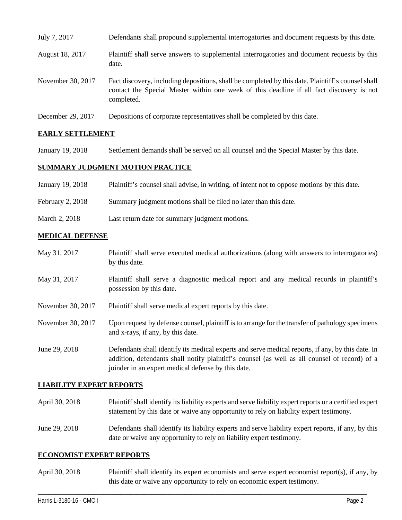| July 7, 2017      | Defendants shall propound supplemental interrogatories and document requests by this date.                                                                                                                  |
|-------------------|-------------------------------------------------------------------------------------------------------------------------------------------------------------------------------------------------------------|
| August 18, 2017   | Plaintiff shall serve answers to supplemental interrogatories and document requests by this<br>date.                                                                                                        |
| November 30, 2017 | Fact discovery, including depositions, shall be completed by this date. Plaintiff's counsel shall<br>contact the Special Master within one week of this deadline if all fact discovery is not<br>completed. |
| December 29, 2017 | Depositions of corporate representatives shall be completed by this date.                                                                                                                                   |

## **EARLY SETTLEMENT**

January 19, 2018 Settlement demands shall be served on all counsel and the Special Master by this date.

## **SUMMARY JUDGMENT MOTION PRACTICE**

| January 19, 2018        | Plaintiff's counsel shall advise, in writing, of intent not to oppose motions by this date. |
|-------------------------|---------------------------------------------------------------------------------------------|
| <b>February 2, 2018</b> | Summary judgment motions shall be filed no later than this date.                            |
| March 2, 2018           | Last return date for summary judgment motions.                                              |

### **MEDICAL DEFENSE**

- May 31, 2017 Plaintiff shall serve executed medical authorizations (along with answers to interrogatories) by this date.
- May 31, 2017 Plaintiff shall serve a diagnostic medical report and any medical records in plaintiff's possession by this date.
- November 30, 2017 Plaintiff shall serve medical expert reports by this date.
- November 30, 2017 Upon request by defense counsel, plaintiff is to arrange for the transfer of pathology specimens and x-rays, if any, by this date.
- June 29, 2018 Defendants shall identify its medical experts and serve medical reports, if any, by this date. In addition, defendants shall notify plaintiff's counsel (as well as all counsel of record) of a joinder in an expert medical defense by this date.

#### **LIABILITY EXPERT REPORTS**

- April 30, 2018 Plaintiff shall identify its liability experts and serve liability expert reports or a certified expert statement by this date or waive any opportunity to rely on liability expert testimony.
- June 29, 2018 Defendants shall identify its liability experts and serve liability expert reports, if any, by this date or waive any opportunity to rely on liability expert testimony.

#### **ECONOMIST EXPERT REPORTS**

April 30, 2018 Plaintiff shall identify its expert economists and serve expert economist report(s), if any, by this date or waive any opportunity to rely on economic expert testimony.

\_\_\_\_\_\_\_\_\_\_\_\_\_\_\_\_\_\_\_\_\_\_\_\_\_\_\_\_\_\_\_\_\_\_\_\_\_\_\_\_\_\_\_\_\_\_\_\_\_\_\_\_\_\_\_\_\_\_\_\_\_\_\_\_\_\_\_\_\_\_\_\_\_\_\_\_\_\_\_\_\_\_\_\_\_\_\_\_\_\_\_\_\_\_\_\_\_\_\_\_\_\_\_\_\_\_\_\_\_\_